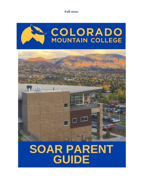**Fall 2021**

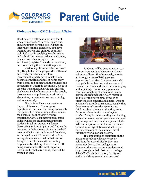

## **Welcome from CMC Student Affairs**

Heading off to college is a big step for all who are involved. As parents, guardians, and/or support persons, you will play an integral role in this transition. You have weighed options and endured countless technical steps in applying for admissions and submitting necessary documents; now, you are preparing to support the enrollment, registration and course of study decisions during this orientation phase.

Just as significant are the processes of getting to know the people who will assist and teach your student, explore involvement opportunities to help them become connected and feel at home away from home, and understand the policies and procedures of Colorado Mountain College to ease the transition and avoid any difficult challenges. Each of these parts – the people, involvement, and policies is as critical an element to your student's success as doing well academically.

Students will learn and evolve as they go off to college. The range of expectations can vary from being exclusively independent to maintaining a close rein on the details of your student's college experience. CMC is an intentionally small college where the environment supports students in taking on new challenges, discovering unfamiliar paths and finding the next step in their success. Students are held accountable for their actions and decisions, encouraged to learn from each situation, and apply lessons learned in their future. Being in control comes with assuming responsibility. Making choices comes with being accountable. The most important lesson can be that, as an adult, they will be treated as such.



Students will be busy adjusting to a new environment and discovering themselves at college. Simultaneously, parents go through a time of letting go, yet supporting from afar. Everyone deals with change in his or her own unique way, and there are no black and white rules for coping and adjusting. It is for many parents a continual weighing of when to let nearly grown children make their own mistakes and follow their own path, or when to intervene with concern and advice. Despite a student's attitude or response, usually they dearly want to know their parents are thinking about them, and that they aren't forgotten. *Communication with your student is key* in understanding and helping each other move beyond good-byes and new beginnings and into their next phase of life. Whether expressed or not, a sincere desire to meet your expectations and not let you down is also one of the main factors of influence over his or her success.

It is impossible to assimilate all the changes a student will experience or solutions for every difficulty they may encounter during their college years. However, there are patterns students tend to go through in their first year at college. All of CMC's administration, faculty and staff are wishing your student success!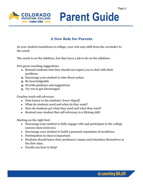

# **A New Role for Parents**

As your student transitions to college, your role may shift from the *caretaker* to the *coach*.

The coach is on the sidelines, but they have a job to do on the sidelines.

Five great coaching suggestions:

- **1.** Remind students that they should not expect you to deal with their problems
- **2.** Encourage your student to take direct action
- **3.** Be knowledgeable
- **4.** Provide guidance and suggestions
- **5.** Try not to get discouraged

Coaches teach self-advocacy

- First lesson to the students: *know thyself*
- What do students need and what do they want?
- How do students *get* what they need and what they want?
- Remind your student that self-advocacy is a lifelong skill.

Starting on the right foot:

- Encourage your student to fully engage with and participate in the college success class (AAA101).
- Encourage your student to build a personal reputation of excellence.
- Participation in class is important.
- Students should know their professors' names and introduce themselves at the first class.
- Faculty are here to help!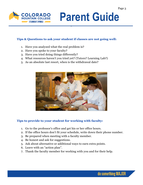

## **Tips & Questions to ask your student if classes are not going well:**

- 1. Have you analyzed what the real problem is?
- 2. Have you spoke to your faculty?
- 3. Have you tried doing things differently?
- 4. What resources haven't you tried yet? (Tutors? Learning Lab?)
- 5. As an absolute last resort, when is the withdrawal date?



## **Tips to provide to your student for working with faculty:**

- 1. Go to the professor's office and get his or her office hours.
- 2. If the office hours don't fit your schedule, write down their phone number.
- 3. Be prepared when meeting with a faculty member.
- 4. Be honest and ask for suggestions.
- 5. Ask about alternative or additional ways to earn extra points.
- 6. Leave with an "action plan".
- 7. Thank the faculty member for working with you and for their help.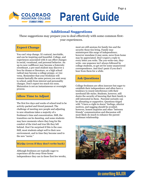

# **Additional Suggestions**

These suggestions may prepare you to deal effectively with some common firstyear experiences.

## **Expect Change**

You can't stop change. It's natural, inevitable, and can be inspiring and beautiful. College, and experiences associated with it can effect changes in social, vocational, and personal behavior. An up-to-now wallflower may become a fraternity sweetheart, a pre-med student may discover a love for drama or literature, or a high school radical may become a college preppy, or vice versa. Remember that your freshman will remain basically the same person you sent away to school, aside from interest and personality changes. Don't expect too much too soon. Maturation is not an instantaneous or overnight process.

## **Allow Time to Adjust**

The first few days and weeks of school tend to be activity-packed and friend-jammed. The challenge of meeting new people and adjusting to new situations takes a majority of a freshman's time and concentration. Still, the transition can be daunting, and some students may have moments where they long for the comfort of the tried and true life they left behind. Don't be surprised if this is the case. Still, most students adapt well to their new environment, and in time they become used to the new "norm."

## **Write (even if they don't write back)**

Although freshmen are typically eager to experience all the away-from-home independence they can in those first few weeks, most are still anxious for family ties and the security those ties bring. Family may misinterpret this surge of independence; however mundane it may seem, news from home may be appreciated. Don't expect a reply to every letter you write. The you-write-one, theywrite- one sequence isn't always followed by college students, so get set for some unanswered correspondence. And don't panic if you don't hear from them for a while.

## **Ask Questions**

College freshmen are often insecure but eager to establish their independence and often have a tendency to resent interference with their newfound life-styles. Students, however, still desire the security of knowing that their family is still interested in them. Parental curiosity can be alienating or supportive. Questions tinged with "I-have-a-right-to-know" feelings, ulterior motives, and nagging should be avoided; however, honest inquiries and other "between friends" communication and discussion will most likely do much to enhance the parentfreshman relationship.

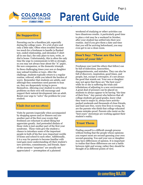

## **Be Supportive**

Parenting can be a thankless job, especially during the college years. It's a lot of give and only a little take. Often when troubles become too much for a freshman to handle (a flunked test, ended relationship, and shrunken T-shirt all in one day), the only place to turn, write, or dial is home. Unfortunately, this is often the only time the urge to communicate is felt so strongly, so you may not always hear about the "A" paper, the new companion, or the domestic triumph. In these challenging times your son or daughter may unload troubles or tears. After the challenge, students typically return to a regular routine, relieved, while you inherit the burden of worry. Remember that students are adults, and although they sometimes need parents to lean on, they are desperately trying to prove themselves. Allowing your student to solve these problems on their own will encourage and support their natural development into an adult. Resist your urge to "solve" the problem for your student.

## **Visit (but not too often)**

Visits by parents (especially when accompanied by shopping sprees and/or dinners out) are another part of the first-year events that freshmen are reluctant to admit liking but appreciate greatly. And pretended disdain of those visits is just another part of the first-year syndrome. These visits give the student a chance to introduce some of the important people in both of his/her now-important worlds of home and school to each other. Additionally, it is a way for parents to become familiar with (and gain more understanding of) their student's new activities, commitments, and friends. Spurof-the-moment "surprises" are usually not appreciated — preemption of a planned

weekend of studying or other activities can have disastrous results. A particularly good time to plan a visit may be a weekend in October, after your student has settled into their new routine. And if you give them a date and time that you will be arriving beforehand, you may even get to see a clean room.

## **Don't Say: "These are the best years of your life"**

Freshman year (and the others that follow) can be full of indecision, insecurities, disappointments, and mistakes. They can also be full of discovery, inspiration, good times, and people, but, except in retrospect, it's not always the good that stands out. Your son or daughter may not agree that these are "the best years" while he or she is suffering the trials and tribulations of adjusting to a new environment. A great deal of pressure can be placed on students to always appear to be having "the time of their lives." Any parent who believes that all college students get good grades, know what they want to major in, always have activitypacked weekends and thousands of close friends, and lead care-free, worry-free lives is wrong. So are the parents who think that college-educated means mistake-proof. Parents who insist on the "best years" stereotype are working against their student's reality.

## **Trust Them**

Finding oneself is a difficult enough process without feeling that the people whose opinions you respect most are second-guessing your own second-guessing. You and your son or daughter may have differences of opinion. It is important to realize that these differences are not a battle between right and wrong; rather they should be thought of as different points of view.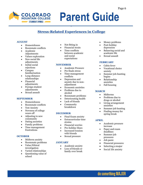

# **Stress-Related Experiences in College**

## **AUGUST**

- Homesickness
- Roommate conflicts
- Academic Adjustments
- Values exploration
- New social life adjustments
- Initial social rejections
- Campus familiarization
- Long-distance relationships
- Financial adjustments
- Foreign student adjustments
- Sexual assault

### **SEPTEMBER**

- Homesickness
- Roommate conflicts
- Test Anxiety
- Newness of college wears off
- Adjusting to new community
- Dating anxieties
- Family problems
- Time management frustrations

### **OCTOBER**

- Midterm anxiety
- Roommate problems
- Value/Ethical investigation
- Varied relationships
- Questioning value of school
- Not fitting in
- Financial strain
- Time conflicts between academic and social expectations

### **NOVEMBER**

- Academic Pressure
- Pre finals stress
- Time management conflicts
- Depression and anxiety due to nonadjustment
- Economic anxieties
- Problems due to alcohol
- Roommate problems
- Deteriorating health
- Lack of friends
- Community breakdown

### **DECEMBER**

- Final Exam anxiety
- Extracurricular time strains
- Financial worries
- Pre-holiday blues
- Increased tension with friends
- Sexual pressure

### **JANUARY**

- Academic anxiety
- Loss of friends or family over break
- Money problems
- Post-holiday
- depression
- Balancing social and academic life
- Sexual assault

### **FEBRUARY**

- Cabin fever
- Vocational choice anxiety
- Summer job-hunting begins
- Relationship anxieties
- Fall housing

## **MARCH**

- Midterms
- Problems due to drugs or alcohol
- Living arrangement anxieties
- Summer job hunting
- Finding money for spring break

### **APRIL**

- Academic pressure increase
- Paper and exam deadlines
- Summer job pressures
- Job panic
- Financial pressures
- Selecting a major
- Social life anxiety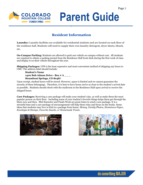

# **Resident Information**

**Laundry:** Laundry facilities are available for residential students and are located on each floor of the residence hall. Students will need to supply their own laundry detergent, dryer sheets, bleach, etc.

**On-Campus Parking:** Students are allowed to park one vehicle on campus without cost. All students are required to obtain a parking permit from the Residence Hall front desk during the first week of class and display it on their vehicle throughout the year.

**Shipping Packages:** UPS is the least expensive and most convenient method of shipping any boxes to CMC. The address label should include:

**Student's Name 1400 Bob Adams Drive - Box # A \_ \_ \_ Steamboat Springs, CO 80487**

Upon receipt, student boxes will be stored. However, space is limited and we cannot guarantee the security of these belongings. Therefore, it is best to have boxes arrive as close to the student's arrival date as possible. Students should check with the mailroom in the Residence Hall upon arrival to receive the shipped boxes.

**Care Packages:** Receiving a care package will make your student's day, as well as make them the most popular person on their floor. Including some of your student's favorite things helps them get through the blues now and then. Mid-Semester and Finals Week are great times to send a care package. It is a stressful time and a care package of encouragement will help them relax and focus on the books. Some ideas that students may love to find in a package from home: *Money, Family Photos, Hometown Paper, Envelopes & Stamps, Favorite Snacks, or Homemade Treats*.



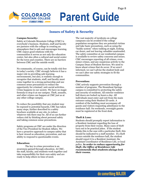

# **Issues of Safety & Security**

#### **Campus Security:**

Safety at Colorado Mountain College (CMC) is everybody's business. Students, staff and faculty are partners with the college in creating an atmosphere that is safe and encourages learning. CMC enjoys good relations with the communities it serves as not only the education center, but also often a cultural and social center for the town and counties. There are no barriers between CMC and the outside world.

No community, of course, can be totally risk free in today's society. CMC strongly believes it has a major role in providing safe learning environments, but also, is realistic enough to recognize that students, staff, and faculty must come together in a strong partnership and use common sense precautions to reduce the opportunity for criminal/ anti-social activities. Crime happens in our society. We have no magic formula to stop it at our campus. Theft, assaults, and other crimes can happen at CMC just as at any other college campus.

To reduce the possibility that any student may be exposed to potential hazards, CMC has taken many steps, further described in a safety brochure available at any site, to reduce whatever risk there may be. All of us can further reduce risk by thinking about personal safety and taking common sense precautions.

Safety programs at CMC are under the direction of the Vice President for Student Affairs. We have a proactive approach to campus safety that is best viewed as education, prevention, and our ability to respond to questionable events.

### **Education:**

The key to crime prevention is an awareness gained through education. At CMC, the staff, faculty, and students work together and take responsibility for their own safety and are ready to help others in time of need.

The vast majority of incidents on college campuses can be avoided if the college population recognizes they are potential victims and take basic precautions, such as using the "buddy system" when walking at night, locking car doors, and not leaving valuables unattended. The safety committee at our residential campus is available to review safety concerns and issues. CMC encourages reporting of all crimes, even minor crimes, and any suspicious activity to the Campus Dean of Student Services. We need to know about crimes that do occur. If we aren't informed, we can't advise the student body and we can't alter our safety strategies to fit the communities.

### **Prevention:**

CMC actively supports prevention through a number of programs. The Steamboat Springs campus is committed to protecting the safety and security of residents. All exterior residence hall doors are locked 24 hours a day. All individuals must enter and exit from the main entrance using their Student ID cards. A resident of the building must accompany all guests and visitors requesting admittance to the residence hall. On weekends, overnight guests must be registered at the front desk.

### **Theft & Loss:**

Students should promptly report information to a Resident Assistant regarding the loss of property from their rooms. Many cases of theft turn out to be practical jokes. If the student thinks this is the case with a particular theft, this should be indicated to a staff member. If a theft occurs outside the residence hall, the student should report it to a Resident Assistant, the Assistant Coordinator of Residence Life, or local police. *In order to reduce opportunity for theft, the Office of Residence Life recommends that students always lock their rooms.*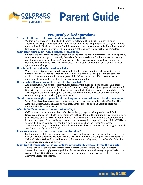

## **Frequently Asked Questions**

### **Are guests allowed to stay overnight in the residence hall?**

Visitors are allowed to visit in student rooms from 8am to 12 midnight, Sunday through Thursday. Overnight guests are allowed on Friday and Saturday nights and must register and be approved by the Residence Life staff and the roommate. An overnight guest is limited to a stay of two consecutive nights per visit, with a maximum not to exceed twelve nights per semester.

### **What if my son/daughter has roommate challenges?**

Students are encouraged to discuss these situations with their roommate first. If problems persist, students are encouraged to seek help from their Resident Assistant. Staff members can usually assist in resolving any difficulties. There are mediation processes and procedures in place for students who would like to switch roommates. The Assistant Coordinator of Student Life must approve room changes.

### **How is mail received in the residence halls?**

When room assignments are made, each student will receive a mailing address, which is a box number in the residence hall. Mail is delivered directly to the hall and placed in the student's mailbox. Due to our mountain location, overnight delivery is not possible. Please expect a minimum of two-day delivery for all express/overnight mailings.

### **How much will my son/daughter need to study each day?**

As a general rule, two hours of study time is necessary for every one hour of class (i.e. a three credit course would require six hours of study time per week). This is just a general rule, as study time will depend on course load, difficulty, and each student's individual needs and abilities. The Learning Lab and Library are open numerous hours throughout the week and weekends for studying and private tutoring (by appointment).

### **Should our son/daughter open a local checking account and where can he/she use checks?**

Many Steamboat businesses take out-of-town or local checks with student identification. The Academic Center houses an ATM as well. If students choose to open an account, there are numerous banks to choose from.

### **What is CMC's Mandatory Immunization Policy?**

CMC requires that all students born after December 31, 1956, provide proof of two MMR (measles, mumps, and rubella) immunizations in their lifetime. The first immunization must have been received on or after their first birthday. The two immunizations must have been received at least 30 days apart. Students living on-campus are also required to provide proof of the COVID-19 vaccine. Failure to comply will result in a hold being placed on the student's records. Documentation may be mailed to: Colorado Mountain College, Attn. Registration, 1275 Crawford Ave. Steamboat Springs, CO 80487.

### **Does my son/daughter need a car while in Steamboat?**

Students who wish to bring a car are welcome to do so. That said, a vehicle is not necessary as the City of Steamboat Springs provides free bus service to and from the campus. The bus stops at Hill Hall and Bristol Hall and serves downtown, the mountain-valley area, and both ends of the city with numerous stops along the way.

### **What type of transportation is available for my student to get to and from the airport?**

Alpine Taxi offers shuttle service from Denver International Airport and Hayden Airport. Reservations are strongly encouraged; it will save a student time and money. Alpine Taxi can be reached at 970-879-2800 or 1-800-343-7433. Greyhound Bus service is also offered from Denver to Steamboat Springs.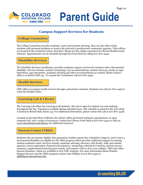

# **Campus Support Services for Students**

## **College Counselors**

The College Counselors provide academic, career and transfer advising. They are also able to help students with personal problems or assist with referrals to professional community agencies. Their offices are located in the Academic Center, first floor. Please see the college counselors for Mental Health Center referrals. Appointments can be schedule through the Front Desk by calling 970-870-4444.

## **Disability Services**

The Disability Services Coordinator, provides academic support services for students with a documented disability. Services include: assistive technology, test accommodations, student advocacy, books on tape, SmartPens, sign interpreter, academic advising and other accommodations as needed. Elisha Colson's office is in Bristol Hall 135. To contact the Coordinator call 970-870-4450.

## **Health Services**

CMC offers on-campus health services through a physician's assistant. Students can call 970-870-4495 to reach the Health Center.

## **Learning Lab & Library**

The Learning Lab offers free tutoring to all students. The Lab is open for student use and studying throughout the day. Tutoring is available during schedule hours. The schedule is posted in the Lab which is located in Bristol Hall, Room 145. For additional information, please contact the Lab at 970-870-4428.

Located on the third floor of Bristol, the Library offers proctored testing by appointment, an open computer lab, and a variety of resources. Contact the Library Front Desk at 970-870-4445 or click on www.coloradomtn.edu/library for additional resources.

## **Success Center (TRiO)**

Students who are income eligible, first generation (neither parent has a Bachelor's degree), and/or have a documented disability are eligible for the TRiO program which provides additional support in meeting student academic needs. Services include: academic advising, advocacy with faculty, staff, and outside agencies, career exploration, financial aid assistance, mentoring, referrals for tutoring, student success seminars, supplemental financial grant awards, and transfer visits to four-year colleges. TRiO also offers Success Seminars, which are available to ALL CMC students. For more information about Student Support Services and the TRIO program contact Amy Phillips at 970-870-4533 or alphillips@coloradomtn.edu.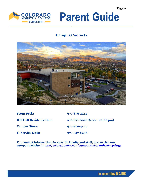

# **Campus Contacts**



| <b>Front Desk:</b>               | 970-870-4444                                 |
|----------------------------------|----------------------------------------------|
| <b>Hill Hall Residence Hall:</b> | $970 - 871 - 2002 (6:00 - 10:00 \text{ pm})$ |
| <b>Campus Store:</b>             | 970-870-4427                                 |
| <b>IT Service Desk:</b>          | 970-947-8438                                 |

**For contact information for specific faculty and staff, please visit our campus website:<https://coloradomtn.edu/campuses/steamboat-springs>**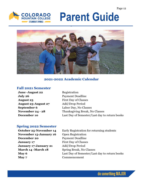



## **2021-2022 Academic Calendar**

## **Fall 2021 Semester**

| <b>June -August 22</b>     |
|----------------------------|
| July 26                    |
| <b>August 23</b>           |
| <b>August 23-August 27</b> |
| September 6                |
| November 24 - 28           |
| December 10                |

**Registration Payment Deadline First Day of Classes Add/Drop Period** Labor Day, No Classes **November 24 - 28** Thanksgiving Break, No Classes Last Day of Semester/Last day to return books

## **Spring 2022 Semester**

**October 25-November 14 November 15-January 16 December 20** Payment Deadline **January 17** First Day of Classes **January 17-January 21** Add/Drop Period **March 14 -March 18** Spring Break, No Classes **May 7** Commencement

Early Registration for returning students Open Registration **May 6** Last Day of Semester/Last day to return books